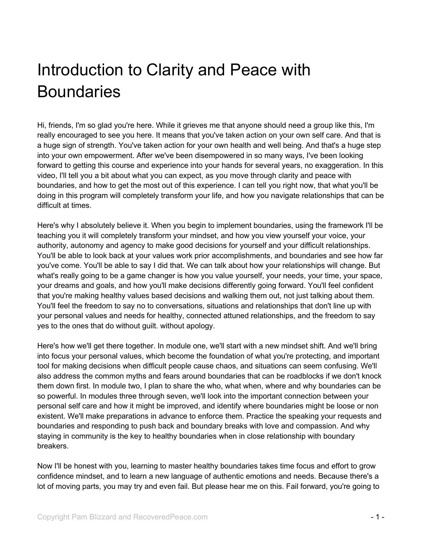## Introduction to Clarity and Peace with **Boundaries**

Hi, friends, I'm so glad you're here. While it grieves me that anyone should need a group like this, I'm really encouraged to see you here. It means that you've taken action on your own self care. And that is a huge sign of strength. You've taken action for your own health and well being. And that's a huge step into your own empowerment. After we've been disempowered in so many ways, I've been looking forward to getting this course and experience into your hands for several years, no exaggeration. In this video, I'll tell you a bit about what you can expect, as you move through clarity and peace with boundaries, and how to get the most out of this experience. I can tell you right now, that what you'll be doing in this program will completely transform your life, and how you navigate relationships that can be difficult at times.

Here's why I absolutely believe it. When you begin to implement boundaries, using the framework I'll be teaching you it will completely transform your mindset, and how you view yourself your voice, your authority, autonomy and agency to make good decisions for yourself and your difficult relationships. You'll be able to look back at your values work prior accomplishments, and boundaries and see how far you've come. You'll be able to say I did that. We can talk about how your relationships will change. But what's really going to be a game changer is how you value yourself, your needs, your time, your space, your dreams and goals, and how you'll make decisions differently going forward. You'll feel confident that you're making healthy values based decisions and walking them out, not just talking about them. You'll feel the freedom to say no to conversations, situations and relationships that don't line up with your personal values and needs for healthy, connected attuned relationships, and the freedom to say yes to the ones that do without guilt. without apology.

Here's how we'll get there together. In module one, we'll start with a new mindset shift. And we'll bring into focus your personal values, which become the foundation of what you're protecting, and important tool for making decisions when difficult people cause chaos, and situations can seem confusing. We'll also address the common myths and fears around boundaries that can be roadblocks if we don't knock them down first. In module two, I plan to share the who, what when, where and why boundaries can be so powerful. In modules three through seven, we'll look into the important connection between your personal self care and how it might be improved, and identify where boundaries might be loose or non existent. We'll make preparations in advance to enforce them. Practice the speaking your requests and boundaries and responding to push back and boundary breaks with love and compassion. And why staying in community is the key to healthy boundaries when in close relationship with boundary breakers.

Now I'll be honest with you, learning to master healthy boundaries takes time focus and effort to grow confidence mindset, and to learn a new language of authentic emotions and needs. Because there's a lot of moving parts, you may try and even fail. But please hear me on this. Fail forward, you're going to